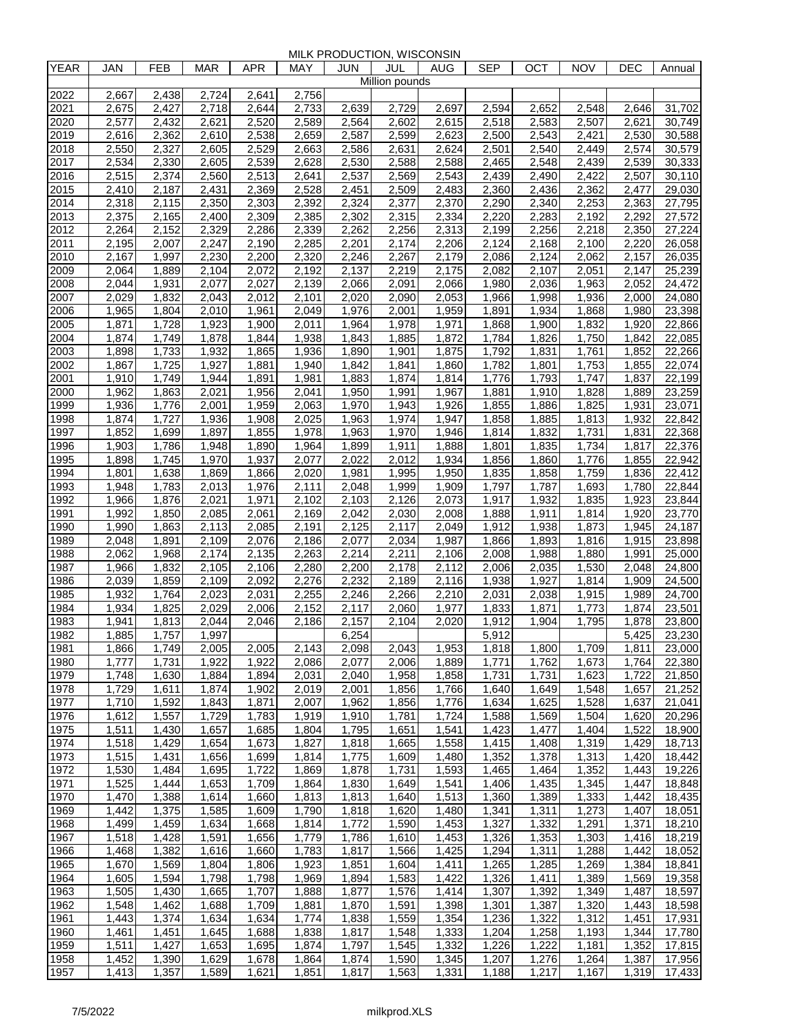MILK PRODUCTION, WISCONSIN

| <b>YEAR</b>  | JAN                | <b>FEB</b>                  | <b>MAR</b>                  | <b>APR</b>                  | MAY            | JUN            | JUL                | AUG                | <b>SEP</b>     | OCT                         | NOV            | DEC            | Annual           |
|--------------|--------------------|-----------------------------|-----------------------------|-----------------------------|----------------|----------------|--------------------|--------------------|----------------|-----------------------------|----------------|----------------|------------------|
|              |                    |                             |                             |                             |                |                | Million pounds     |                    |                |                             |                |                |                  |
| 2022<br>2021 | 2,667<br>2,675     | 2,438<br>2,427              | 2,724<br>2.718              | 2,641<br>2,644              | 2,756<br>2,733 | 2,639          | 2,729              | 2,697              | 2,594          | 2,652                       | 2,548          | 2,646          | 31,702           |
| 2020         | 2,577              | 2,432                       | 2,621                       | 2,520                       | 2,589          | 2,564          | 2,602              | 2,615              | 2,518          | 2,583                       | 2,507          | 2,621          | 30,749           |
| 2019         | 2,616              | 2,362                       | 2,610                       | 2,538                       | 2,659          | 2,587          | 2,599              | 2,623              | 2,500          | 2,543                       | 2,421          | 2,530          | 30,588           |
| 2018         | 2,550              | 2,327                       | 2,605                       | 2,529                       | 2,663          | 2,586          | $\overline{2},631$ | 2,624              | 2,501          | 2,540                       | 2,449          | 2,574          | 30,579           |
| 2017         | 2,534              | 2,330                       | 2,605                       | 2,539                       | 2,628          | 2,530          | 2,588              | 2,588              | 2,465          | 2,548                       | 2,439          | 2,539          | 30,333           |
| 2016         | 2,515              | 2,374                       | 2,560                       | 2,513                       | 2,641          | 2,537          | $\overline{2,}569$ | 2,543              | 2,439          | 2,490                       | 2,422          | 2,507          | 30,110           |
| 2015         | 2,410              | 2,187                       | 2,431                       | 2,369                       | 2,528          | 2,451          | 2,509              | 2,483              | 2,360          | 2,436                       | 2,362          | 2,477          | 29,030           |
| 2014<br>2013 | 2,318<br>2,375     | $\overline{2,}115$<br>2,165 | 2,350<br>2,400              | $\overline{2,}303$<br>2,309 | 2,392<br>2,385 | 2,324<br>2,302 | 2,377<br>2,315     | 2,370<br>2,334     | 2,290<br>2,220 | $\overline{2,340}$<br>2,283 | 2,253<br>2,192 | 2,363<br>2,292 | 27,795<br>27,572 |
| 2012         | 2,264              | 2,152                       | 2,329                       | 2,286                       | 2,339          | 2,262          | 2,256              | 2,313              | 2,199          | 2,256                       | 2,218          | 2,350          | 27,224           |
| 2011         | 2,195              | 2,007                       | 2,247                       | 2,190                       | 2,285          | 2,201          | 2,174              | 2,206              | 2,124          | 2,168                       | 2,100          | 2,220          | 26,058           |
| 2010         | 2,167              | 1,997                       | 2,230                       | 2,200                       | 2,320          | 2,246          | 2,267              | 2,179              | 2,086          | 2,124                       | 2,062          | 2,157          | 26,035           |
| 2009         | 2,064              | 1,889                       | 2,104                       | 2,072                       | 2,192          | 2,137          | 2,219              | 2,175              | 2,082          | 2,107                       | 2,051          | 2,147          | 25,239           |
| 2008         | 2,044              | 1,931                       | 2,077                       | 2,027                       | 2,139          | 2,066          | 2,091              | 2,066              | 1,980          | 2,036                       | 1,963          | 2,052          | 24,472           |
| 2007         | 2,029              | 1,832                       | 2,043                       | 2,012                       | 2,101          | 2,020          | 2,090              | 2,053              | 1,966          | 1,998                       | 1,936          | 2,000          | 24,080           |
| 2006         | 1,965              | 1,804                       | 2,010                       | 1,961                       | 2,049          | 1,976          | 2,001              | 1,959              | 1,891          | 1,934                       | 1,868          | 1,980          | 23,398           |
| 2005         | 1,871              | 1,728                       | 1,923                       | 1,900<br>1,844              | 2,011          | 1,964          | 1,978              | 1,971              | 1,868          | 1,900                       | 1,832          | 1,920<br>1,842 | 22,866<br>22,085 |
| 2004<br>2003 | 1,874<br>1,898     | 1,749<br>1,733              | 1,878<br>1,932              | 1,865                       | 1,938<br>1,936 | 1,843<br>1,890 | 1,885<br>1,901     | 1,872<br>1,875     | 1,784<br>1,792 | 1,826<br>1,831              | 1,750<br>1,761 | 1,852          | 22,266           |
| 2002         | 1,867              | 1,725                       | 1,927                       | 1,881                       | 1,940          | 1,842          | 1,841              | 1,860              | 1,782          | 1,801                       | 1,753          | 1,855          | 22,074           |
| 2001         | 1,910              | 1,749                       | 1,944                       | 1,891                       | 1,981          | 1,883          | 1,874              | 1,814              | 1,776          | 1,793                       | 1,747          | 1,837          | 22,199           |
| 2000         | 1,962              | 1,863                       | 2,021                       | 1,956                       | 2,041          | 1,950          | 1,991              | 1,967              | 1,881          | 1,910                       | 1,828          | 1,889          | 23,259           |
| 1999         | 1,936              | 1,776                       | 2,001                       | 1,959                       | 2,063          | 1,970          | 1,943              | 1,926              | 1,855          | 1,886                       | 1,825          | 1,931          | 23,071           |
| 1998         | 1,874              | 1,727                       | 1,936                       | 1,908                       | 2,025          | 1,963          | 1.974              | 1,947              | 1,858          | 1,885                       | 1,813          | 1,932          | 22,842           |
| 1997         | 1,852              | 1,699                       | 1,897                       | 1,855                       | 1,978          | 1,963          | 1,970              | 1,946              | 1,814          | 1,832                       | 1,731          | 1,831          | 22,368           |
| 1996         | 1,903              | 1,786                       | 1,948                       | 1,890                       | 1,964          | 1,899          | 1,911              | 1,888              | 1,801          | 1,835                       | 1,734          | 1,817          | 22,376           |
| 1995         | 1,898              | 1,745                       | 1,970                       | 1,937                       | 2,077<br>2,020 | 2,022<br>1,981 | 2,012<br>1,995     | 1,934              | 1,856          | 1,860                       | 1,776          | 1,855          | 22,942<br>22,412 |
| 1994<br>1993 | 1,801<br>1,948     | 1,638<br>1,783              | 1,869<br>$\overline{2,013}$ | 1,866<br>1,976              | 2,111          | 2,048          | 1,999              | 1,950<br>1,909     | 1,835<br>1,797 | 1,858<br>1,787              | 1,759<br>1,693 | 1,836<br>1,780 | 22,844           |
| 1992         | 1,966              | 1,876                       | 2,021                       | 1,971                       | 2,102          | 2,103          | 2,126              | 2,073              | 1,917          | 1,932                       | 1,835          | 1,923          | 23,844           |
| 1991         | 1,992              | 1,850                       | 2,085                       | 2,061                       | 2,169          | 2,042          | 2,030              | 2,008              | 1,888          | 1,911                       | 1,814          | 1,920          | 23,770           |
| 1990         | 1,990              | 1,863                       | 2,113                       | 2,085                       | 2,191          | 2,125          | 2,117              | $\overline{2,049}$ | 1,912          | 1,938                       | 1,873          | 1,945          | 24,187           |
| 1989         | 2,048              | 1,891                       | $\overline{2,}109$          | 2,076                       | 2,186          | 2,077          | $\overline{2,034}$ | 1,987              | 1,866          | 1,893                       | 1,816          | 1,915          | 23,898           |
| 1988         | 2,062              | 1,968                       | 2,174                       | 2,135                       | 2,263          | 2,214          | 2,211              | 2,106              | 2,008          | 1,988                       | 1,880          | 1,991          | 25,000           |
| 1987         | 1,966              | 1,832                       | 2,105                       | 2,106                       | 2,280          | 2,200          | 2,178              | 2,112              | 2,006          | 2,035                       | 1,530          | 2,048          | 24,800           |
| 1986         | 2,039              | 1,859                       | 2,109                       | 2.092                       | 2,276          | 2,232          | 2,189              | 2,116              | 1,938          | 1,927                       | 1,814          | 1,909          | 24,500           |
| 1985<br>1984 | 1,932<br>1,934     | 1,764<br>1,825              | 2,023<br>2,029              | 2,031<br>2,006              | 2,255<br>2,152 | 2,246<br>2,117 | 2,266<br>2,060     | 2,210<br>1,977     | 2,031<br>1,833 | 2,038<br>1,871              | 1,915<br>1,773 | 1,989<br>1,874 | 24,700<br>23,501 |
| 1983         | 1,941              | 1,813                       | 2,044                       | 2,046                       | 2,186          | 2,157          | 2,104              | 2,020              | 1,912          | 1,904                       | 1,795          | 1,878          | 23,800           |
| 1982         | 1,885              | 1,757                       | 1,997                       |                             |                | 6,254          |                    |                    | 5,912          |                             |                | 5,425          | 23,230           |
| 1981         | 1,866              | 1,749                       | 2,005                       | 2,005                       | 2,143          | 2,098          | 2,043              | 1,953              | 1,818          | 1,800                       | 1,709          | 1,811          | 23,000           |
| 1980         | $\overline{1,777}$ | 1,731                       | 1,922                       | 1,922                       | 2,086          | 2,077          | 2.006              | 1,889              | 1,771          | 1,762                       | 1,673          | 1,764          | 22,380           |
| 1979         | 1,748              | 1,630                       | 1,884                       | 1,894                       | 2,031          | 2,040          | 1,958              | 1,858              | 1,731          | 1,731                       | 1,623          | 1,722          | 21,850           |
| 1978         | 1,729              | 1,611                       | 1,874                       | 1,902                       | 2,019          | 2,001          | 1,856              | 1,766              | 1,640          | 1,649                       | 1,548          | 1,657          | 21,252           |
| 1977         | 1,710              | 1,592                       | 1,843                       | 1,871                       | 2,007          | 1,962          | 1,856              | 1,776              | 1,634          | 1,625                       | 1,528          | 1,637          | 21,041           |
| 1976<br>1975 | 1,612<br>1,511     | 1,557<br>1,430              | 1,729<br>1,657              | 1,783<br>1,685              | 1,919<br>1,804 | 1,910<br>1,795 | 1,781<br>1,651     | 1,724<br>1,541     | 1,588<br>1,423 | 1,569<br>1,477              | 1,504<br>1,404 | 1,620<br>1,522 | 20,296<br>18,900 |
| 1974         | 1,518              | 1,429                       | 1,654                       | 1,673                       | 1,827          | 1,818          | 1,665              | 1,558              | 1,415          | 1,408                       | 1,319          | 1,429          | 18,713           |
| 1973         | 1,515              | 1,431                       | 1,656                       | 1,699                       | 1,814          | 1,775          | 1,609              | 1,480              | 1,352          | 1,378                       | 1,313          | 1,420          | 18,442           |
| 1972         | 1,530              | 1,484                       | 1,695                       | 1,722                       | 1,869          | 1,878          | 1,731              | 1,593              | 1,465          | 1,464                       | 1,352          | 1,443          | 19,226           |
| 1971         | 1,525              | 1,444                       | 1,653                       | 1,709                       | 1,864          | 1,830          | 1,649              | 1,541              | 1,406          | 1,435                       | 1,345          | 1,447          | 18,848           |
| 1970         | 1,470              | 1,388                       | $\overline{1,614}$          | 1,660                       | 1,813          | 1,813          | 1,640              | 1,513              | 1,360          | 1,389                       | 1,333          | 1,442          | 18,435           |
| 1969         | 1,442              | 1,375                       | 1,585                       | 1,609                       | 1,790          | 1,818          | 1,620              | 1,480              | 1,341          | 1,311                       | 1,273          | 1,407          | 18,051           |
| 1968         | 1,499              | 1,459                       | 1,634                       | 1,668                       | 1,814          | 1,772          | 1,590              | 1,453              | 1,327          | 1,332                       | 1,291          | 1,371          | 18,210           |
| 1967<br>1966 | 1,518<br>1,468     | 1,428<br>1,382              | 1,591<br>1,616              | 1,656<br>1,660              | 1,779<br>1,783 | 1,786<br>1,817 | 1,610<br>1,566     | 1,453<br>1,425     | 1,326<br>1,294 | 1,353<br>1,311              | 1,303<br>1,288 | 1,416<br>1,442 | 18,219<br>18,052 |
| 1965         | 1,670              | 1,569                       | 1,804                       | 1,806                       | 1,923          | 1,851          | 1,604              | 1,411              | 1,265          | 1,285                       | 1,269          | 1,384          | 18,841           |
| 1964         | 1,605              | 1,594                       | 1,798                       | 1,798                       | 1,969          | 1,894          | 1,583              | 1,422              | 1,326          | 1,411                       | 1,389          | 1,569          | 19,358           |
| 1963         | 1,505              | 1,430                       | 1,665                       | 1,707                       | 1,888          | 1,877          | 1,576              | 1,414              | 1,307          | 1,392                       | 1,349          | 1,487          | 18,597           |
| 1962         | 1,548              | 1,462                       | 1,688                       | 1,709                       | 1,881          | 1,870          | 1,591              | 1,398              | 1,301          | 1,387                       | 1,320          | 1,443          | 18,598           |
| 1961         | 1,443              | 1,374                       | 1,634                       | 1,634                       | 1,774          | 1,838          | 1,559              | 1,354              | 1,236          | 1,322                       | 1,312          | 1,451          | 17,931           |
| 1960         | 1,461              | 1,451                       | 1,645                       | 1,688                       | 1,838          | 1,817          | 1,548              | 1,333              | 1,204          | 1,258                       | 1,193          | 1,344          | 17,780           |
| 1959         | 1,511              | 1,427                       | 1,653                       | 1,695                       | 1,874          | 1,797          | 1,545              | 1,332              | 1,226          | 1,222                       | 1,181          | 1,352          | 17,815           |
| 1958         | 1,452              | 1,390                       | 1,629                       | 1,678                       | 1,864          | 1,874          | 1,590              | 1,345              | 1,207          | 1,276                       | 1,264          | 1,387          | 17,956           |
| 1957         | 1,413              | 1,357                       | 1,589                       | 1,621                       | 1,851          | 1,817          | 1,563              | 1,331              | 1,188          | 1,217                       | 1,167          | 1,319          | 17,433           |